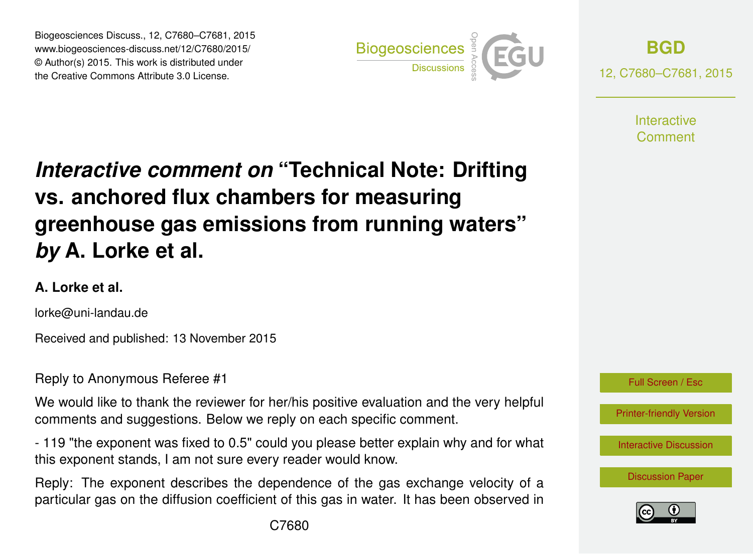Biogeosciences Discuss., 12, C7680–C7681, 2015 www.biogeosciences-discuss.net/12/C7680/2015/ © Author(s) 2015. This work is distributed under the Creative Commons Attribute 3.0 License.



**[BGD](http://www.biogeosciences-discuss.net)**

12, C7680–C7681, 2015

**Interactive** Comment

## *Interactive comment on* **"Technical Note: Drifting vs. anchored flux chambers for measuring greenhouse gas emissions from running waters"** *by* **A. Lorke et al.**

## **A. Lorke et al.**

lorke@uni-landau.de

Received and published: 13 November 2015

Reply to Anonymous Referee #1

We would like to thank the reviewer for her/his positive evaluation and the very helpful comments and suggestions. Below we reply on each specific comment.

- 119 "the exponent was fixed to 0.5" could you please better explain why and for what this exponent stands, I am not sure every reader would know.

Reply: The exponent describes the dependence of the gas exchange velocity of a particular gas on the diffusion coefficient of this gas in water. It has been observed in



[Printer-friendly Version](http://www.biogeosciences-discuss.net/12/C7680/2015/bgd-12-C7680-2015-print.pdf)

[Interactive Discussion](http://www.biogeosciences-discuss.net/12/14619/2015/bgd-12-14619-2015-discussion.html)

[Discussion Paper](http://www.biogeosciences-discuss.net/12/14619/2015/bgd-12-14619-2015.pdf)